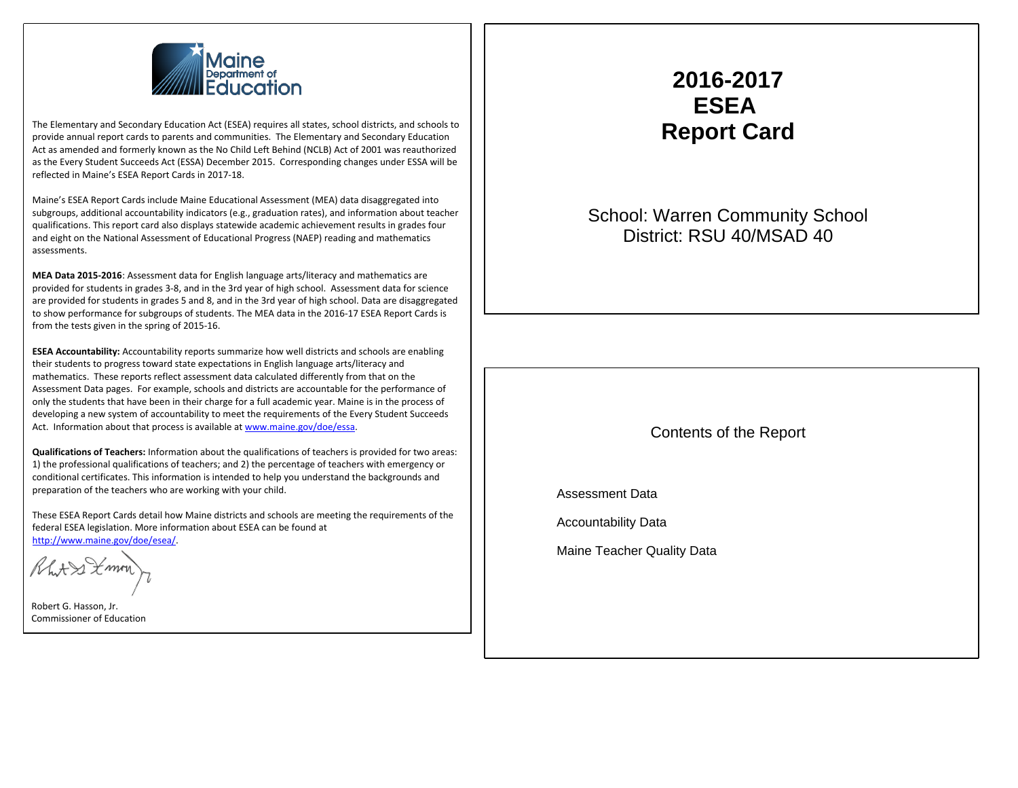

The Elementary and Secondary Education Act (ESEA) requires all states, school districts, and schools to provide annual report cards to parents and communities. The Elementary and Secondary Education Act as amended and formerly known as the No Child Left Behind (NCLB) Act of 2001 was reauthorized as the Every Student Succeeds Act (ESSA) December 2015. Corresponding changes under ESSA will be reflected in Maine's ESEA Report Cards in 2017-18.

Maine's ESEA Report Cards include Maine Educational Assessment (MEA) data disaggregated into subgroups, additional accountability indicators (e.g., graduation rates), and information about teacher qualifications. This report card also displays statewide academic achievement results in grades four and eight on the National Assessment of Educational Progress (NAEP) reading and mathematics assessments.

**MEA Data 2015-2016**: Assessment data for English language arts/literacy and mathematics are provided for students in grades 3-8, and in the 3rd year of high school. Assessment data for science are provided for students in grades 5 and 8, and in the 3rd year of high school. Data are disaggregated to show performance for subgroups of students. The MEA data in the 2016-17 ESEA Report Cards is from the tests given in the spring of 2015-16.

**ESEA Accountability:** Accountability reports summarize how well districts and schools are enabling their students to progress toward state expectations in English language arts/literacy and mathematics. These reports reflect assessment data calculated differently from that on the Assessment Data pages. For example, schools and districts are accountable for the performance of only the students that have been in their charge for a full academic year. Maine is in the process of developing a new system of accountability to meet the requirements of the Every Student Succeeds Act. Information about that process is available at [www.maine.gov/doe/essa](http://www.maine.gov/doe/essa).

**Qualifications of Teachers:** Information about the qualifications of teachers is provided for two areas: 1) the professional qualifications of teachers; and 2) the percentage of teachers with emergency or conditional certificates. This information is intended to help you understand the backgrounds and preparation of the teachers who are working with your child.

These ESEA Report Cards detail how Maine districts and schools are meeting the requirements of the federal ESEA legislation. More information about ESEA can be found at [http://www.maine.gov/doe/esea/.](http://www.maine.gov/doe/esea/)

 $2+22$  mm

Robert G. Hasson, Jr. Commissioner of Education

#### **2016-2017 ESEA Report Card**

School: Warren Community School District: RSU 40/MSAD 40

Contents of the Report

Assessment Data

Accountability Data

Maine Teacher Quality Data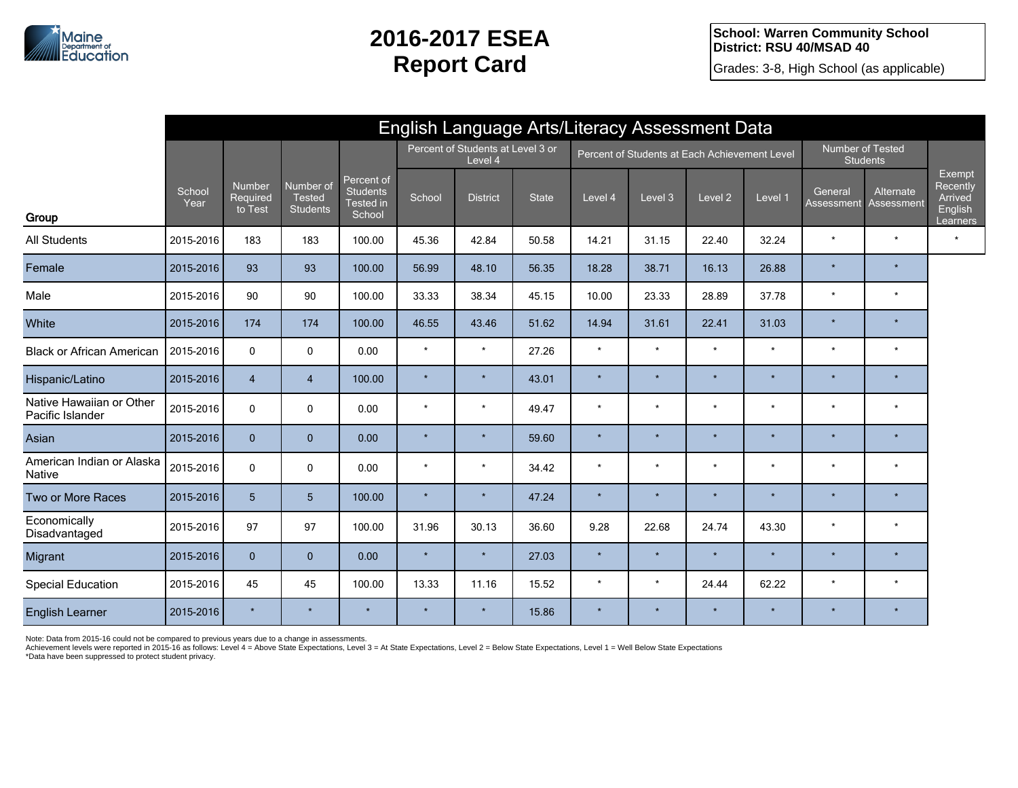**School: Warren Community School District: RSU 40/MSAD 40**

Grades: 3-8, High School (as applicable)

|                                              | English Language Arts/Literacy Assessment Data |                               |                                               |                                                             |                                              |                 |              |                                               |         |                    |         |                                     |                         |                                                             |
|----------------------------------------------|------------------------------------------------|-------------------------------|-----------------------------------------------|-------------------------------------------------------------|----------------------------------------------|-----------------|--------------|-----------------------------------------------|---------|--------------------|---------|-------------------------------------|-------------------------|-------------------------------------------------------------|
|                                              |                                                |                               |                                               |                                                             | Percent of Students at Level 3 or<br>Level 4 |                 |              | Percent of Students at Each Achievement Level |         |                    |         | Number of Tested<br><b>Students</b> |                         |                                                             |
| Group                                        | School<br>Year                                 | Number<br>Required<br>to Test | Number of<br><b>Tested</b><br><b>Students</b> | Percent of<br><b>Students</b><br><b>Tested</b> in<br>School | School                                       | <b>District</b> | <b>State</b> | Level 4                                       | Level 3 | Level <sub>2</sub> | Level 1 | General<br><b>Assessment</b>        | Alternate<br>Assessment | Exempt<br>Recently<br>Arrived<br><b>English</b><br>Learners |
| <b>All Students</b>                          | 2015-2016                                      | 183                           | 183                                           | 100.00                                                      | 45.36                                        | 42.84           | 50.58        | 14.21                                         | 31.15   | 22.40              | 32.24   | $\star$                             | $\star$                 | $\star$                                                     |
| Female                                       | 2015-2016                                      | 93                            | 93                                            | 100.00                                                      | 56.99                                        | 48.10           | 56.35        | 18.28                                         | 38.71   | 16.13              | 26.88   | $\star$                             | $\star$                 |                                                             |
| Male                                         | 2015-2016                                      | 90                            | 90                                            | 100.00                                                      | 33.33                                        | 38.34           | 45.15        | 10.00                                         | 23.33   | 28.89              | 37.78   | $\star$                             | $\star$                 |                                                             |
| White                                        | 2015-2016                                      | 174                           | 174                                           | 100.00                                                      | 46.55                                        | 43.46           | 51.62        | 14.94                                         | 31.61   | 22.41              | 31.03   | $\star$                             | $\star$                 |                                                             |
| <b>Black or African American</b>             | 2015-2016                                      | 0                             | 0                                             | 0.00                                                        | $\star$                                      | $\star$         | 27.26        | $\star$                                       | $\star$ | $\star$            | $\star$ | $\star$                             | $\star$                 |                                                             |
| Hispanic/Latino                              | 2015-2016                                      | $\overline{4}$                | $\overline{4}$                                | 100.00                                                      | $\star$                                      | $\star$         | 43.01        | $\star$                                       | $\star$ | $\star$            | $\star$ | $\star$                             | $\star$                 |                                                             |
| Native Hawaiian or Other<br>Pacific Islander | 2015-2016                                      | $\mathbf 0$                   | 0                                             | 0.00                                                        |                                              | $\star$         | 49.47        | $\star$                                       | $\star$ | $\star$            | $\star$ | $\star$                             | $\star$                 |                                                             |
| Asian                                        | 2015-2016                                      | $\mathbf{0}$                  | $\mathbf{0}$                                  | 0.00                                                        | $\star$                                      | $\star$         | 59.60        | $\star$                                       | $\star$ | $\star$            | $\star$ | $\star$                             | $\star$                 |                                                             |
| American Indian or Alaska<br><b>Native</b>   | 2015-2016                                      | 0                             | 0                                             | 0.00                                                        | $\star$                                      | $\star$         | 34.42        | $\star$                                       | $\star$ | $\star$            | $\star$ | $\star$                             | $\star$                 |                                                             |
| Two or More Races                            | 2015-2016                                      | 5 <sup>5</sup>                | $5\phantom{.}$                                | 100.00                                                      | $\star$                                      | $\star$         | 47.24        | $\star$                                       | $\star$ | $\star$            | $\star$ | $\star$                             | $\star$                 |                                                             |
| Economically<br>Disadvantaged                | 2015-2016                                      | 97                            | 97                                            | 100.00                                                      | 31.96                                        | 30.13           | 36.60        | 9.28                                          | 22.68   | 24.74              | 43.30   | $\star$                             | $\star$                 |                                                             |
| Migrant                                      | 2015-2016                                      | $\mathbf{0}$                  | $\mathbf{0}$                                  | 0.00                                                        | $\star$                                      | $\star$         | 27.03        | $\star$                                       | $\star$ | $\star$            | $\star$ | $\star$                             | $\star$                 |                                                             |
| <b>Special Education</b>                     | 2015-2016                                      | 45                            | 45                                            | 100.00                                                      | 13.33                                        | 11.16           | 15.52        | $\star$                                       | $\star$ | 24.44              | 62.22   | $\star$                             | $^\star$                |                                                             |
| <b>English Learner</b>                       | 2015-2016                                      |                               |                                               |                                                             | $\star$                                      | $\star$         | 15.86        | $\star$                                       | $\star$ | $\star$            | $\star$ | $\star$                             | $\star$                 |                                                             |

Note: Data from 2015-16 could not be compared to previous years due to a change in assessments.

Achievement levels were reported in 2015-16 as follows: Level 4 = Above State Expectations, Level 3 = At State Expectations, Level 2 = Below State Expectations, Level 1 = Well Below State Expectations

\*Data have been suppressed to protect student privacy.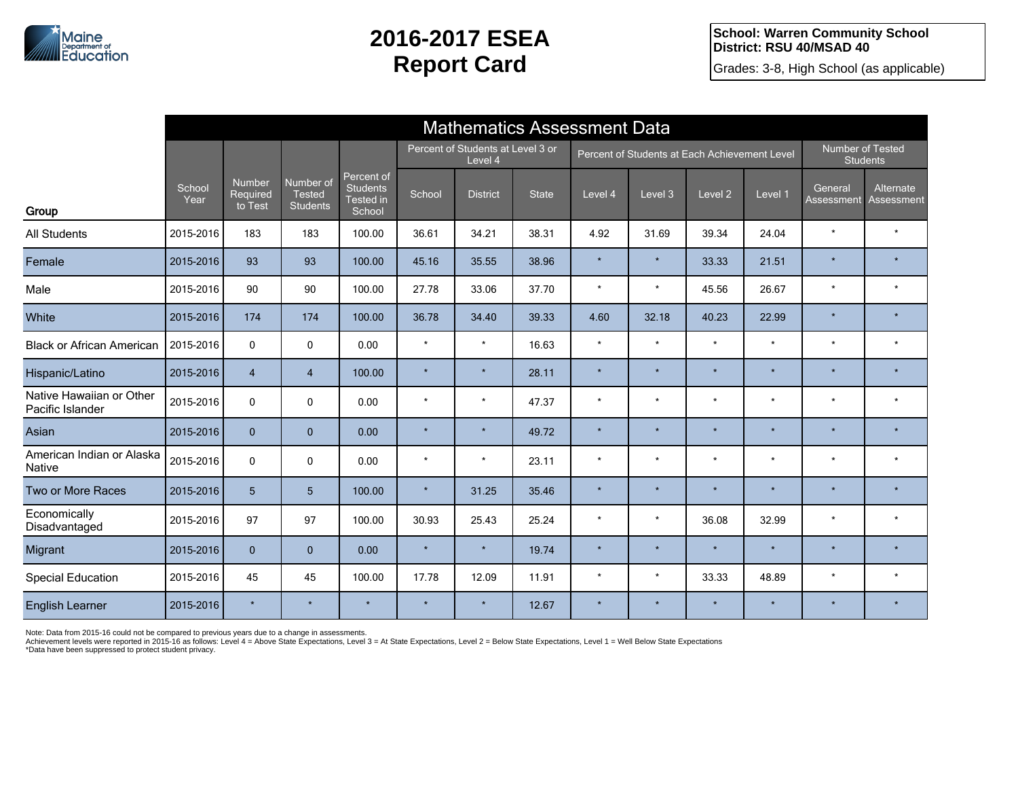Grades: 3-8, High School (as applicable)

|                                              |                | <b>Mathematics Assessment Data</b> |                                        |                                                             |                                              |                 |              |                                               |         |                    |         |                                     |                         |  |
|----------------------------------------------|----------------|------------------------------------|----------------------------------------|-------------------------------------------------------------|----------------------------------------------|-----------------|--------------|-----------------------------------------------|---------|--------------------|---------|-------------------------------------|-------------------------|--|
|                                              |                |                                    |                                        |                                                             | Percent of Students at Level 3 or<br>Level 4 |                 |              | Percent of Students at Each Achievement Level |         |                    |         | Number of Tested<br><b>Students</b> |                         |  |
| Group                                        | School<br>Year | Number<br>Required<br>to Test      | Number of<br><b>Tested</b><br>Students | Percent of<br><b>Students</b><br><b>Tested in</b><br>School | School                                       | <b>District</b> | <b>State</b> | Level 4                                       | Level 3 | Level <sub>2</sub> | Level 1 | General<br>Assessment               | Alternate<br>Assessment |  |
| <b>All Students</b>                          | 2015-2016      | 183                                | 183                                    | 100.00                                                      | 36.61                                        | 34.21           | 38.31        | 4.92                                          | 31.69   | 39.34              | 24.04   | $\star$                             | $\star$                 |  |
| Female                                       | 2015-2016      | 93                                 | 93                                     | 100.00                                                      | 45.16                                        | 35.55           | 38.96        | $\star$                                       | $\star$ | 33.33              | 21.51   | $\star$                             | $\star$                 |  |
| Male                                         | 2015-2016      | 90                                 | 90                                     | 100.00                                                      | 27.78                                        | 33.06           | 37.70        | $\star$                                       | $\star$ | 45.56              | 26.67   | $\star$                             | $\star$                 |  |
| White                                        | 2015-2016      | 174                                | 174                                    | 100.00                                                      | 36.78                                        | 34.40           | 39.33        | 4.60                                          | 32.18   | 40.23              | 22.99   | $\star$                             |                         |  |
| <b>Black or African American</b>             | 2015-2016      | $\mathbf 0$                        | $\mathbf 0$                            | 0.00                                                        | $\star$                                      | $\star$         | 16.63        | $\star$                                       | $\star$ | $\star$            | $\star$ | $\star$                             | $\star$                 |  |
| Hispanic/Latino                              | 2015-2016      | $\overline{4}$                     | $\overline{4}$                         | 100.00                                                      | $\star$                                      | $\star$         | 28.11        | $\star$                                       | $\star$ | $\star$            | $\star$ | $\star$                             | $\star$                 |  |
| Native Hawaiian or Other<br>Pacific Islander | 2015-2016      | $\mathbf{0}$                       | $\pmb{0}$                              | 0.00                                                        | $\star$                                      | $\star$         | 47.37        | $\star$                                       | $\star$ | $\star$            | $\star$ | $\star$                             | $\star$                 |  |
| Asian                                        | 2015-2016      | $\mathbf{0}$                       | $\mathbf{0}$                           | 0.00                                                        |                                              | $\star$         | 49.72        |                                               | $\star$ | $\star$            | $\star$ | $\star$                             | $\star$                 |  |
| American Indian or Alaska<br><b>Native</b>   | 2015-2016      | $\mathbf{0}$                       | $\Omega$                               | 0.00                                                        | $\star$                                      | $\star$         | 23.11        | $\star$                                       | $\star$ | $\star$            | $\star$ | $\star$                             | $\star$                 |  |
| Two or More Races                            | 2015-2016      | 5                                  | 5                                      | 100.00                                                      | $\star$                                      | 31.25           | 35.46        | $\star$                                       | $\star$ | ÷                  | $\star$ | $\star$                             |                         |  |
| Economically<br>Disadvantaged                | 2015-2016      | 97                                 | 97                                     | 100.00                                                      | 30.93                                        | 25.43           | 25.24        | $\star$                                       | $\star$ | 36.08              | 32.99   | $\star$                             | $\star$                 |  |
| Migrant                                      | 2015-2016      | $\mathbf{0}$                       | $\mathbf{0}$                           | 0.00                                                        | $\star$                                      | $\star$         | 19.74        | $\star$                                       | $\star$ | ÷                  | ÷       | $\star$                             | ÷                       |  |
| <b>Special Education</b>                     | 2015-2016      | 45                                 | 45                                     | 100.00                                                      | 17.78                                        | 12.09           | 11.91        | $\star$                                       | $\star$ | 33.33              | 48.89   | $\star$                             | $\star$                 |  |
| <b>English Learner</b>                       | 2015-2016      | ÷                                  | $\star$                                | $\star$                                                     | $\star$                                      | $\star$         | 12.67        | $\star$                                       | $\star$ | $\star$            | $\star$ | $\star$                             | $\star$                 |  |

Note: Data from 2015-16 could not be compared to previous years due to a change in assessments.<br>Achievement levels were reported in 2015-16 as follows: Level 4 = Above State Expectations, Level 3 = At State Expectations, L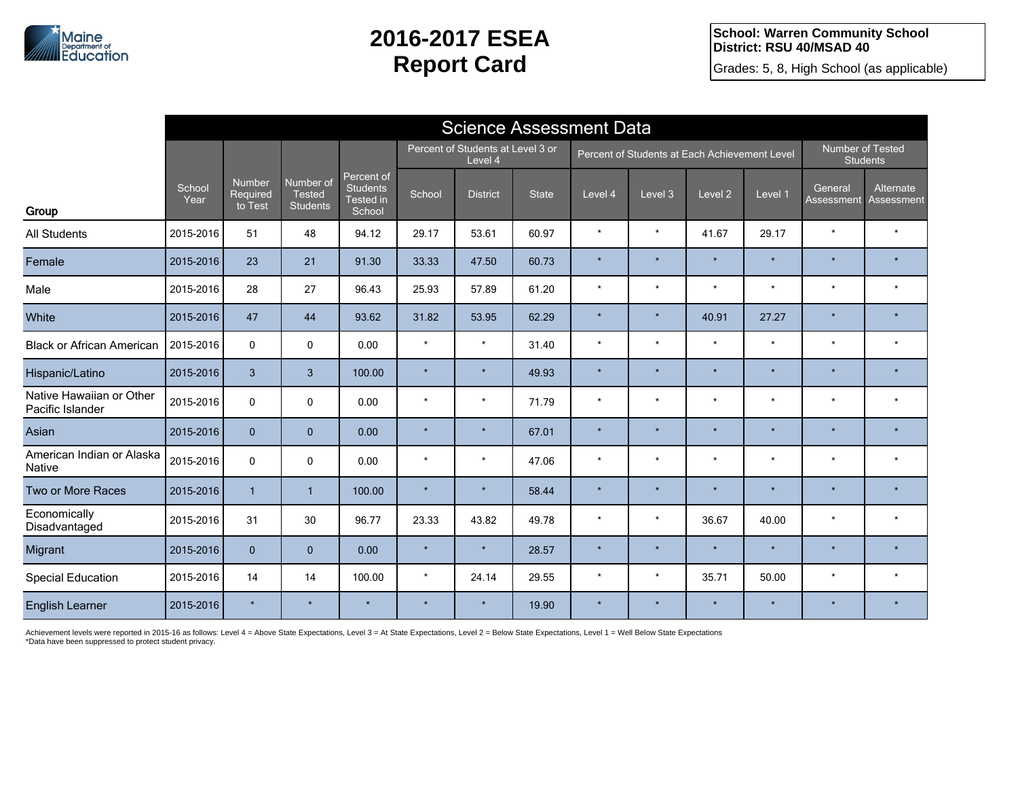

**School: Warren Community School District: RSU 40/MSAD 40**

Grades: 5, 8, High School (as applicable)

|                                              |                | <b>Science Assessment Data</b>       |                                               |                                                      |                                              |                 |              |                                               |         |                    |         |                                     |                                |  |
|----------------------------------------------|----------------|--------------------------------------|-----------------------------------------------|------------------------------------------------------|----------------------------------------------|-----------------|--------------|-----------------------------------------------|---------|--------------------|---------|-------------------------------------|--------------------------------|--|
|                                              |                |                                      |                                               |                                                      | Percent of Students at Level 3 or<br>Level 4 |                 |              | Percent of Students at Each Achievement Level |         |                    |         | Number of Tested<br><b>Students</b> |                                |  |
| Group                                        | School<br>Year | <b>Number</b><br>Required<br>to Test | Number of<br><b>Tested</b><br><b>Students</b> | Percent of<br><b>Students</b><br>Tested in<br>School | School                                       | <b>District</b> | <b>State</b> | Level 4                                       | Level 3 | Level <sub>2</sub> | Level 1 | General<br>Assessment               | Alternate<br><b>Assessment</b> |  |
| <b>All Students</b>                          | 2015-2016      | 51                                   | 48                                            | 94.12                                                | 29.17                                        | 53.61           | 60.97        | $\star$                                       | $\star$ | 41.67              | 29.17   | $\star$                             | $\star$                        |  |
| Female                                       | 2015-2016      | 23                                   | 21                                            | 91.30                                                | 33.33                                        | 47.50           | 60.73        | $\star$                                       | $\star$ | $\star$            | $\star$ | $\star$                             | $\star$                        |  |
| Male                                         | 2015-2016      | 28                                   | 27                                            | 96.43                                                | 25.93                                        | 57.89           | 61.20        | $\star$                                       | $\star$ | $\star$            | $\star$ | $\star$                             | $\star$                        |  |
| White                                        | 2015-2016      | 47                                   | 44                                            | 93.62                                                | 31.82                                        | 53.95           | 62.29        | $\star$                                       | $\star$ | 40.91              | 27.27   | $\star$                             |                                |  |
| <b>Black or African American</b>             | 2015-2016      | $\mathbf 0$                          | $\mathbf 0$                                   | 0.00                                                 | $\star$                                      | $\star$         | 31.40        | $\star$                                       | $\star$ | $\star$            | $\star$ | $\star$                             | $\star$                        |  |
| Hispanic/Latino                              | 2015-2016      | $\overline{3}$                       | $\mathbf{3}$                                  | 100.00                                               | $\star$                                      | $\star$         | 49.93        | $\star$                                       | $\star$ | $\star$            | $\star$ | $\star$                             | $\star$                        |  |
| Native Hawaiian or Other<br>Pacific Islander | 2015-2016      | 0                                    | $\mathbf 0$                                   | 0.00                                                 | $\star$                                      | $\star$         | 71.79        | $\star$                                       | $\star$ | $\star$            | $\star$ | $\star$                             | $\star$                        |  |
| Asian                                        | 2015-2016      | $\mathbf{0}$                         | $\mathbf{0}$                                  | 0.00                                                 | $\star$                                      | $\star$         | 67.01        | $\star$                                       | $\star$ | $\star$            | $\star$ | $\star$                             | $\star$                        |  |
| American Indian or Alaska<br><b>Native</b>   | 2015-2016      | $\mathbf{0}$                         | $\mathbf 0$                                   | 0.00                                                 | $\star$                                      | $\star$         | 47.06        | $\star$                                       | $\star$ | $\star$            | $\star$ | $\star$                             | $\star$                        |  |
| Two or More Races                            | 2015-2016      | $\mathbf{1}$                         | $\overline{1}$                                | 100.00                                               | $\star$                                      | $\star$         | 58.44        | $\star$                                       | $\star$ |                    | ÷       | $\star$                             |                                |  |
| Economically<br>Disadvantaged                | 2015-2016      | 31                                   | 30                                            | 96.77                                                | 23.33                                        | 43.82           | 49.78        | $\star$                                       | $\star$ | 36.67              | 40.00   | $\star$                             | $\star$                        |  |
| Migrant                                      | 2015-2016      | $\mathbf{0}$                         | $\mathbf{0}$                                  | 0.00                                                 | $\star$                                      | $\star$         | 28.57        | $\star$                                       | $\star$ | ÷                  | $\star$ | $\star$                             | $\star$                        |  |
| <b>Special Education</b>                     | 2015-2016      | 14                                   | 14                                            | 100.00                                               | $\star$                                      | 24.14           | 29.55        | $\star$                                       | $\star$ | 35.71              | 50.00   | $\star$                             | $\star$                        |  |
| <b>English Learner</b>                       | 2015-2016      | $\star$                              | $\star$                                       | $\star$                                              | $\star$                                      | $\star$         | 19.90        | $\star$                                       | $\star$ | $\star$            | $\star$ | $\star$                             | $\star$                        |  |

Achievement levels were reported in 2015-16 as follows: Level 4 = Above State Expectations, Level 3 = At State Expectations, Level 2 = Below State Expectations, Level 1 = Well Below State Expectations<br>\*Data have been suppr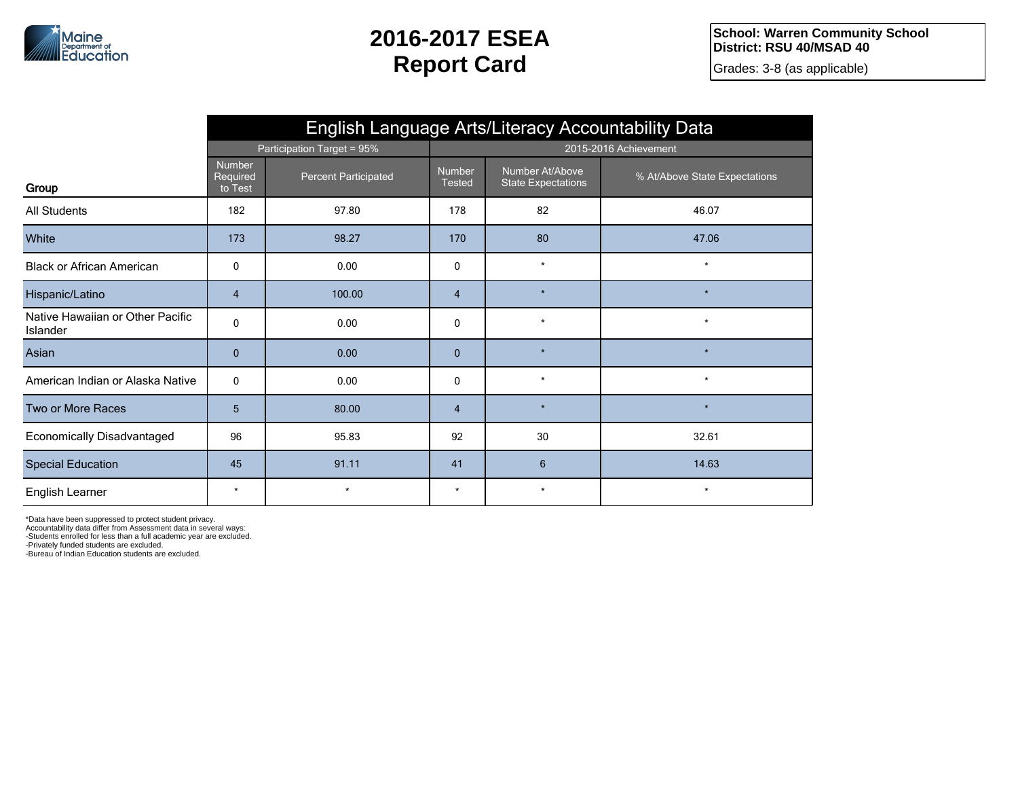

Grades: 3-8 (as applicable)

|                                              | English Language Arts/Literacy Accountability Data |                             |                         |                                              |                               |  |  |  |  |  |
|----------------------------------------------|----------------------------------------------------|-----------------------------|-------------------------|----------------------------------------------|-------------------------------|--|--|--|--|--|
|                                              |                                                    | Participation Target = 95%  | 2015-2016 Achievement   |                                              |                               |  |  |  |  |  |
| Group                                        | Number<br>Required<br>to Test                      | <b>Percent Participated</b> | Number<br><b>Tested</b> | Number At/Above<br><b>State Expectations</b> | % At/Above State Expectations |  |  |  |  |  |
| All Students                                 | 182                                                | 97.80                       | 178                     | 82                                           | 46.07                         |  |  |  |  |  |
| White                                        | 173                                                | 98.27                       | 170                     | 80                                           | 47.06                         |  |  |  |  |  |
| <b>Black or African American</b>             | 0                                                  | 0.00                        | 0                       | $\star$                                      | $\star$                       |  |  |  |  |  |
| Hispanic/Latino                              | 4                                                  | 100.00                      | $\overline{4}$          | $\star$                                      | $\star$                       |  |  |  |  |  |
| Native Hawaiian or Other Pacific<br>Islander | 0                                                  | 0.00                        | $\mathbf 0$             | $\star$                                      | $\star$                       |  |  |  |  |  |
| Asian                                        | $\mathbf{0}$                                       | 0.00                        | $\mathbf{0}$            | $\star$                                      | $\star$                       |  |  |  |  |  |
| American Indian or Alaska Native             | 0                                                  | 0.00                        | 0                       | $\star$                                      | $\star$                       |  |  |  |  |  |
| Two or More Races                            | 5                                                  | 80.00                       | $\overline{4}$          | $\star$                                      | $\star$                       |  |  |  |  |  |
| Economically Disadvantaged                   | 96                                                 | 95.83                       | 92                      | 30                                           | 32.61                         |  |  |  |  |  |
| <b>Special Education</b>                     | 45                                                 | 91.11                       | 41                      | $6\overline{6}$                              | 14.63                         |  |  |  |  |  |
| English Learner                              | $\star$                                            | $\star$                     | $\star$                 | $\star$                                      | $\star$                       |  |  |  |  |  |

\*Data have been suppressed to protect student privacy.

Accountability data differ from Assessment data in several ways:

-Students enrolled for less than a full academic year are excluded.

-Privately funded students are excluded.

-Bureau of Indian Education students are excluded.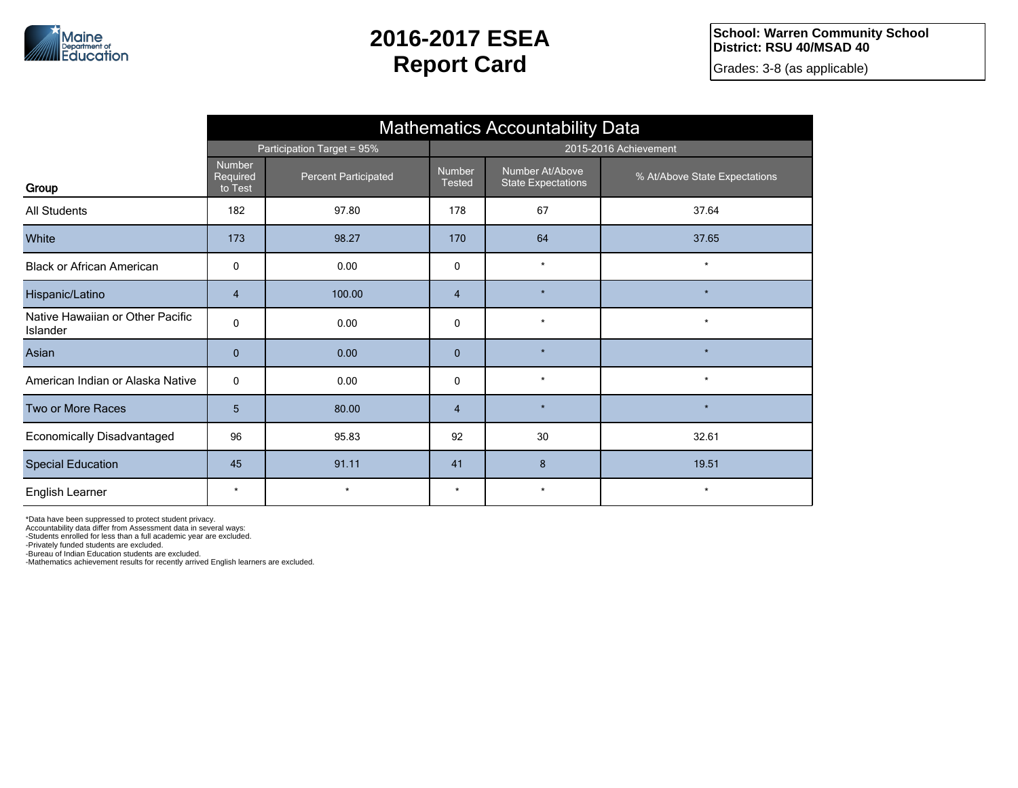

Grades: 3-8 (as applicable)

|                                              | <b>Mathematics Accountability Data</b> |                             |                         |                                              |                               |  |  |  |  |  |
|----------------------------------------------|----------------------------------------|-----------------------------|-------------------------|----------------------------------------------|-------------------------------|--|--|--|--|--|
|                                              |                                        | Participation Target = 95%  | 2015-2016 Achievement   |                                              |                               |  |  |  |  |  |
| Group                                        | <b>Number</b><br>Required<br>to Test   | <b>Percent Participated</b> | Number<br><b>Tested</b> | Number At/Above<br><b>State Expectations</b> | % At/Above State Expectations |  |  |  |  |  |
| All Students                                 | 182                                    | 97.80                       | 178                     | 67                                           | 37.64                         |  |  |  |  |  |
| White                                        | 173                                    | 98.27                       | 170                     | 64                                           | 37.65                         |  |  |  |  |  |
| <b>Black or African American</b>             | 0                                      | 0.00                        | $\mathbf 0$             | $\star$                                      | $\star$                       |  |  |  |  |  |
| Hispanic/Latino                              | $\overline{4}$                         | 100.00                      | $\overline{4}$          | $\star$                                      | $\star$                       |  |  |  |  |  |
| Native Hawaiian or Other Pacific<br>Islander | 0                                      | 0.00                        | $\mathbf 0$             | $\star$                                      | $\star$                       |  |  |  |  |  |
| Asian                                        | $\mathbf{0}$                           | 0.00                        | $\mathbf{0}$            | $\star$                                      |                               |  |  |  |  |  |
| American Indian or Alaska Native             | 0                                      | 0.00                        | $\mathbf 0$             | $\star$                                      | $\star$                       |  |  |  |  |  |
| Two or More Races                            | 5                                      | 80.00                       | $\overline{4}$          | $\star$                                      | $\star$                       |  |  |  |  |  |
| Economically Disadvantaged                   | 96                                     | 95.83                       | 92                      | 30                                           | 32.61                         |  |  |  |  |  |
| <b>Special Education</b>                     | 45                                     | 91.11                       | 41                      | 8                                            | 19.51                         |  |  |  |  |  |
| English Learner                              | $\star$                                | $\star$                     | $\star$                 | $\star$                                      | $^\star$                      |  |  |  |  |  |

\*Data have been suppressed to protect student privacy.

Accountability data differ from Assessment data in several ways: -Students enrolled for less than a full academic year are excluded.

-Privately funded students are excluded.

-Bureau of Indian Education students are excluded.

-Mathematics achievement results for recently arrived English learners are excluded.